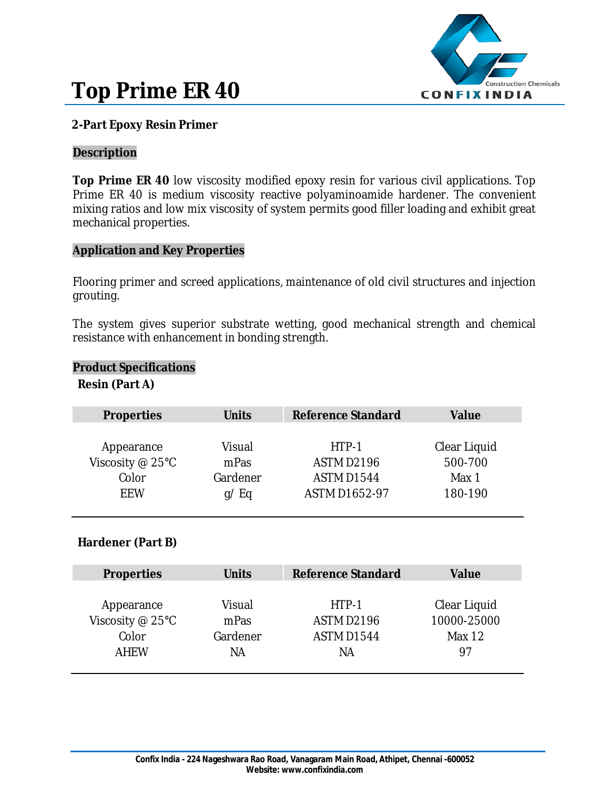



# **2-Part Epoxy Resin Primer**

### **Description**

**Top Prime ER 40** low viscosity modified epoxy resin for various civil applications. Top Prime ER 40 is medium viscosity reactive polyaminoamide hardener. The convenient mixing ratios and low mix viscosity of system permits good filler loading and exhibit great mechanical properties.

### **Application and Key Properties**

Flooring primer and screed applications, maintenance of old civil structures and injection grouting.

The system gives superior substrate wetting, good mechanical strength and chemical resistance with enhancement in bonding strength.

#### **Product Specifications**

### **Resin (Part A)**

| <b>Properties</b> | <b>Units</b> | <b>Reference Standard</b> | Value        |
|-------------------|--------------|---------------------------|--------------|
|                   |              |                           |              |
| Appearance        | Visual       | HTP-1                     | Clear Liquid |
| Viscosity @ 25°C  | mPas         | ASTM D2196                | 500-700      |
| Color             | Gardener     | <b>ASTM D1544</b>         | Max 1        |
| <b>FFW</b>        | $q$ /Eq      | <b>ASTM D1652-97</b>      | 180-190      |

## **Hardener (Part B)**

| <b>Properties</b>  | <b>Units</b> | <b>Reference Standard</b> | Value        |
|--------------------|--------------|---------------------------|--------------|
|                    |              |                           |              |
| Appearance         | Visual       | HTP-1                     | Clear Liquid |
| Viscosity $@$ 25°C | mPas         | <b>ASTM D2196</b>         | 10000-25000  |
| Color              | Gardener     | ASTM D1544                | Max $12$     |
| <b>AHEW</b>        | ΝA           | ΝA                        | 97           |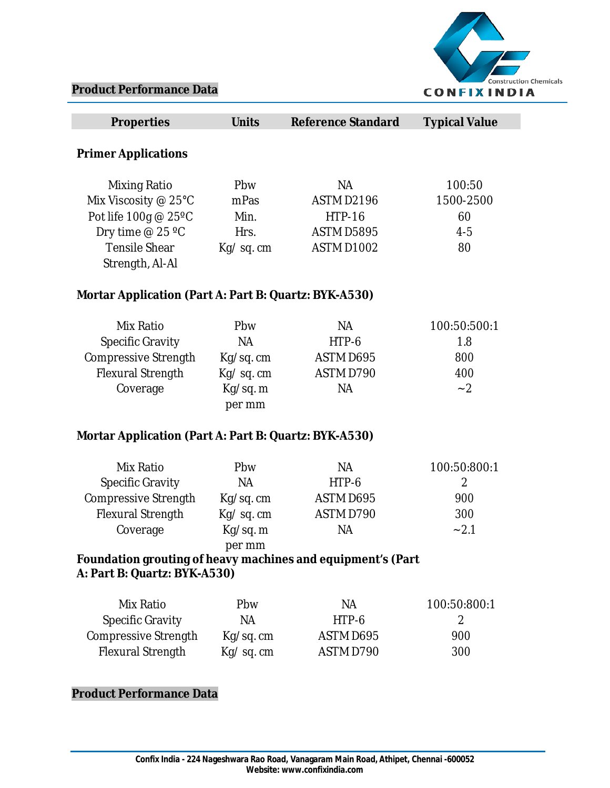

# **Product Performance Data**

| <b>Properties</b>                                           | <b>Units</b> | <b>Reference Standard</b> | <b>Typical Value</b> |
|-------------------------------------------------------------|--------------|---------------------------|----------------------|
| <b>Primer Applications</b>                                  |              |                           |                      |
|                                                             |              |                           |                      |
| <b>Mixing Ratio</b>                                         | Pbw          | <b>NA</b>                 | 100:50               |
| Mix Viscosity @ 25°C                                        | mPas         | <b>ASTM D2196</b>         | 1500-2500            |
| Pot life 100g @ 25°C                                        | Min.         | <b>HTP-16</b>             | 60                   |
| Dry time @ 25 °C                                            | Hrs.         | <b>ASTM D5895</b>         | $4 - 5$              |
| <b>Tensile Shear</b>                                        | Kg/sq.cm     | <b>ASTM D1002</b>         | 80                   |
| Strength, Al-Al                                             |              |                           |                      |
| Mortar Application (Part A: Part B: Quartz: BYK-A530)       |              |                           |                      |
| Mix Ratio                                                   | Pbw          | <b>NA</b>                 | 100:50:500:1         |
| <b>Specific Gravity</b>                                     | <b>NA</b>    | HTP-6                     | 1.8                  |
| Compressive Strength                                        | Kg/sq. cm    | ASTM D695                 | 800                  |
| <b>Flexural Strength</b>                                    | Kg/sq.cm     | ASTM D790                 | 400                  |
| Coverage                                                    | Kg/sq. m     | <b>NA</b>                 | $-2$                 |
|                                                             | per mm       |                           |                      |
| Mortar Application (Part A: Part B: Quartz: BYK-A530)       |              |                           |                      |
| Mix Ratio                                                   | Pbw          | <b>NA</b>                 | 100:50:800:1         |
| <b>Specific Gravity</b>                                     | <b>NA</b>    | HTP-6                     | 2                    |
| Compressive Strength                                        | Kg/sq.cm     | ASTM D695                 | 900                  |
| <b>Flexural Strength</b>                                    | Kg/sq.cm     | ASTM D790                 | 300                  |
| Coverage                                                    | Kg/sq. m     | <b>NA</b>                 | $-2.1$               |
|                                                             | per mm       |                           |                      |
| Foundation grouting of heavy machines and equipment's (Part |              |                           |                      |
| A: Part B: Quartz: BYK-A530)                                |              |                           |                      |
| Mix Ratio                                                   | Pbw          | <b>NA</b>                 | 100:50:800:1         |
| <b>Specific Gravity</b>                                     | <b>NA</b>    | HTP-6                     | 2                    |
| Compressive Strength                                        | Kg/sq. cm    | ASTM D695                 | 900                  |
| <b>Flexural Strength</b>                                    | Kg/sq.cm     | ASTM D790                 | 300                  |
| <b>Product Performance Data</b>                             |              |                           |                      |